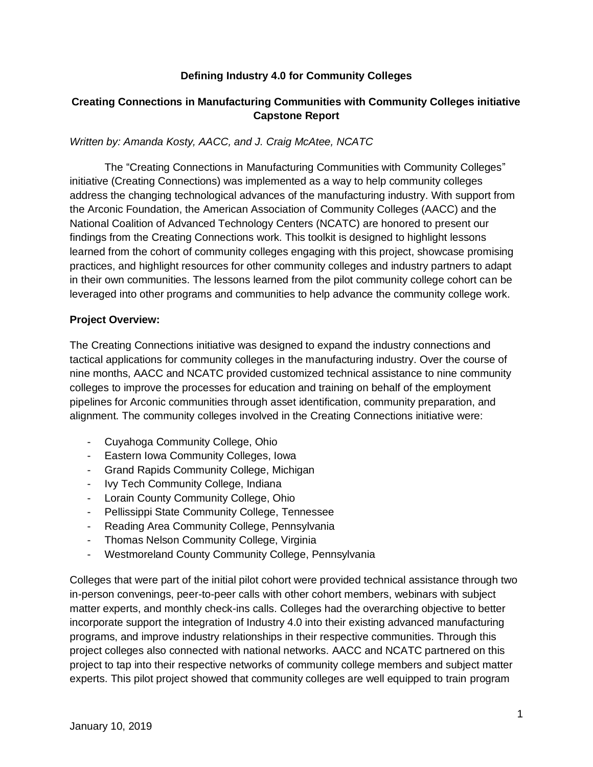#### **Defining Industry 4.0 for Community Colleges**

# **Creating Connections in Manufacturing Communities with Community Colleges initiative Capstone Report**

#### *Written by: Amanda Kosty, AACC, and J. Craig McAtee, NCATC*

The "Creating Connections in Manufacturing Communities with Community Colleges" initiative (Creating Connections) was implemented as a way to help community colleges address the changing technological advances of the manufacturing industry. With support from the Arconic Foundation, the American Association of Community Colleges (AACC) and the National Coalition of Advanced Technology Centers (NCATC) are honored to present our findings from the Creating Connections work. This toolkit is designed to highlight lessons learned from the cohort of community colleges engaging with this project, showcase promising practices, and highlight resources for other community colleges and industry partners to adapt in their own communities. The lessons learned from the pilot community college cohort can be leveraged into other programs and communities to help advance the community college work.

#### **Project Overview:**

The Creating Connections initiative was designed to expand the industry connections and tactical applications for community colleges in the manufacturing industry. Over the course of nine months, AACC and NCATC provided customized technical assistance to nine community colleges to improve the processes for education and training on behalf of the employment pipelines for Arconic communities through asset identification, community preparation, and alignment. The community colleges involved in the Creating Connections initiative were:

- Cuyahoga Community College, Ohio
- Eastern Iowa Community Colleges, Iowa
- Grand Rapids Community College, Michigan
- Ivy Tech Community College, Indiana
- Lorain County Community College, Ohio
- Pellissippi State Community College, Tennessee
- Reading Area Community College, Pennsylvania
- Thomas Nelson Community College, Virginia
- Westmoreland County Community College, Pennsylvania

Colleges that were part of the initial pilot cohort were provided technical assistance through two in-person convenings, peer-to-peer calls with other cohort members, webinars with subject matter experts, and monthly check-ins calls. Colleges had the overarching objective to better incorporate support the integration of Industry 4.0 into their existing advanced manufacturing programs, and improve industry relationships in their respective communities. Through this project colleges also connected with national networks. AACC and NCATC partnered on this project to tap into their respective networks of community college members and subject matter experts. This pilot project showed that community colleges are well equipped to train program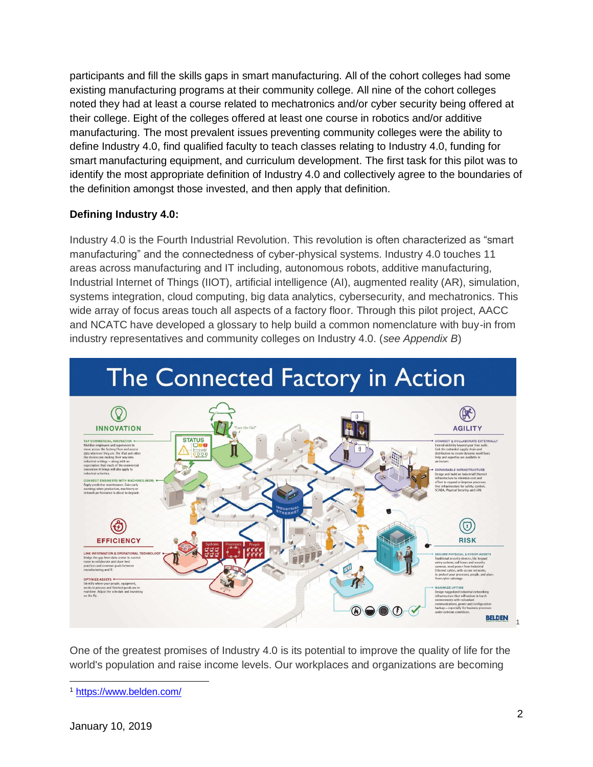participants and fill the skills gaps in smart manufacturing. All of the cohort colleges had some existing manufacturing programs at their community college. All nine of the cohort colleges noted they had at least a course related to mechatronics and/or cyber security being offered at their college. Eight of the colleges offered at least one course in robotics and/or additive manufacturing. The most prevalent issues preventing community colleges were the ability to define Industry 4.0, find qualified faculty to teach classes relating to Industry 4.0, funding for smart manufacturing equipment, and curriculum development. The first task for this pilot was to identify the most appropriate definition of Industry 4.0 and collectively agree to the boundaries of the definition amongst those invested, and then apply that definition.

# **Defining Industry 4.0:**

Industry 4.0 is the Fourth Industrial Revolution. This revolution is often characterized as "smart manufacturing" and the connectedness of cyber-physical systems. Industry 4.0 touches 11 areas across manufacturing and IT including, autonomous robots, additive manufacturing, Industrial Internet of Things (IIOT), artificial intelligence (AI), augmented reality (AR), simulation, systems integration, cloud computing, big data analytics, cybersecurity, and mechatronics. This wide array of focus areas touch all aspects of a factory floor. Through this pilot project, AACC and NCATC have developed a glossary to help build a common nomenclature with buy-in from industry representatives and community colleges on Industry 4.0. (*see Appendix B*)



One of the greatest promises of Industry 4.0 is its potential to improve the quality of life for the world's population and raise income levels. Our workplaces and organizations are becoming

<sup>1</sup> <https://www.belden.com/>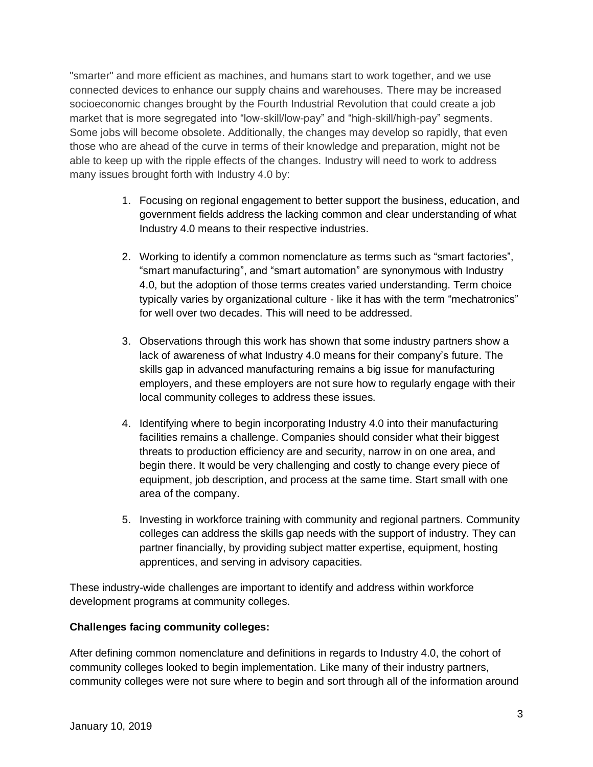"smarter" and more efficient as machines, and humans start to work together, and we use connected devices to enhance our supply chains and warehouses. There may be increased socioeconomic changes brought by the Fourth Industrial Revolution that could create a job market that is more segregated into "low-skill/low-pay" and "high-skill/high-pay" segments. Some jobs will become obsolete. Additionally, the changes may develop so rapidly, that even those who are ahead of the curve in terms of their knowledge and preparation, might not be able to keep up with the ripple effects of the changes. Industry will need to work to address many issues brought forth with Industry 4.0 by:

- 1. Focusing on regional engagement to better support the business, education, and government fields address the lacking common and clear understanding of what Industry 4.0 means to their respective industries.
- 2. Working to identify a common nomenclature as terms such as "smart factories", "smart manufacturing", and "smart automation" are synonymous with Industry 4.0, but the adoption of those terms creates varied understanding. Term choice typically varies by organizational culture - like it has with the term "mechatronics" for well over two decades. This will need to be addressed.
- 3. Observations through this work has shown that some industry partners show a lack of awareness of what Industry 4.0 means for their company's future. The skills gap in advanced manufacturing remains a big issue for manufacturing employers, and these employers are not sure how to regularly engage with their local community colleges to address these issues.
- 4. Identifying where to begin incorporating Industry 4.0 into their manufacturing facilities remains a challenge. Companies should consider what their biggest threats to production efficiency are and security, narrow in on one area, and begin there. It would be very challenging and costly to change every piece of equipment, job description, and process at the same time. Start small with one area of the company.
- 5. Investing in workforce training with community and regional partners. Community colleges can address the skills gap needs with the support of industry. They can partner financially, by providing subject matter expertise, equipment, hosting apprentices, and serving in advisory capacities.

These industry-wide challenges are important to identify and address within workforce development programs at community colleges.

# **Challenges facing community colleges:**

After defining common nomenclature and definitions in regards to Industry 4.0, the cohort of community colleges looked to begin implementation. Like many of their industry partners, community colleges were not sure where to begin and sort through all of the information around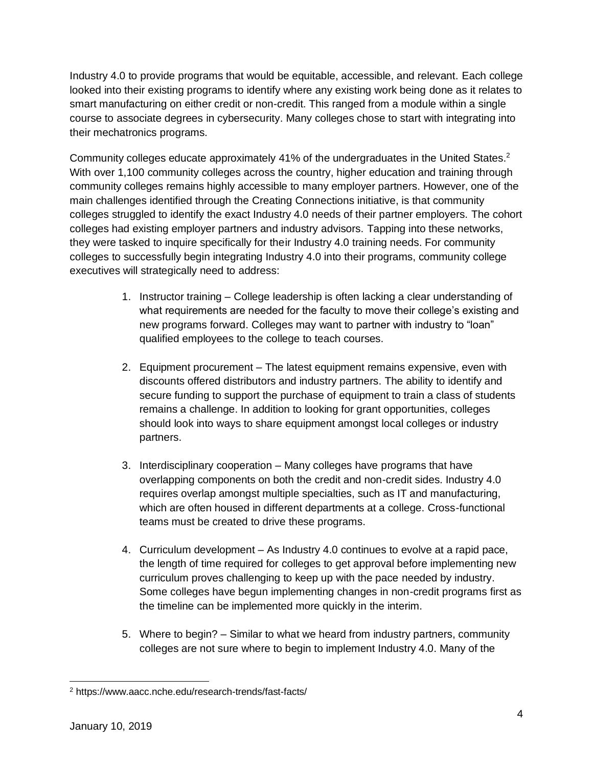Industry 4.0 to provide programs that would be equitable, accessible, and relevant. Each college looked into their existing programs to identify where any existing work being done as it relates to smart manufacturing on either credit or non-credit. This ranged from a module within a single course to associate degrees in cybersecurity. Many colleges chose to start with integrating into their mechatronics programs.

Community colleges educate approximately 41% of the undergraduates in the United States.<sup>2</sup> With over 1,100 community colleges across the country, higher education and training through community colleges remains highly accessible to many employer partners. However, one of the main challenges identified through the Creating Connections initiative, is that community colleges struggled to identify the exact Industry 4.0 needs of their partner employers. The cohort colleges had existing employer partners and industry advisors. Tapping into these networks, they were tasked to inquire specifically for their Industry 4.0 training needs. For community colleges to successfully begin integrating Industry 4.0 into their programs, community college executives will strategically need to address:

- 1. Instructor training College leadership is often lacking a clear understanding of what requirements are needed for the faculty to move their college's existing and new programs forward. Colleges may want to partner with industry to "loan" qualified employees to the college to teach courses.
- 2. Equipment procurement The latest equipment remains expensive, even with discounts offered distributors and industry partners. The ability to identify and secure funding to support the purchase of equipment to train a class of students remains a challenge. In addition to looking for grant opportunities, colleges should look into ways to share equipment amongst local colleges or industry partners.
- 3. Interdisciplinary cooperation Many colleges have programs that have overlapping components on both the credit and non-credit sides. Industry 4.0 requires overlap amongst multiple specialties, such as IT and manufacturing, which are often housed in different departments at a college. Cross-functional teams must be created to drive these programs.
- 4. Curriculum development As Industry 4.0 continues to evolve at a rapid pace, the length of time required for colleges to get approval before implementing new curriculum proves challenging to keep up with the pace needed by industry. Some colleges have begun implementing changes in non-credit programs first as the timeline can be implemented more quickly in the interim.
- 5. Where to begin? Similar to what we heard from industry partners, community colleges are not sure where to begin to implement Industry 4.0. Many of the

<sup>2</sup> https://www.aacc.nche.edu/research-trends/fast-facts/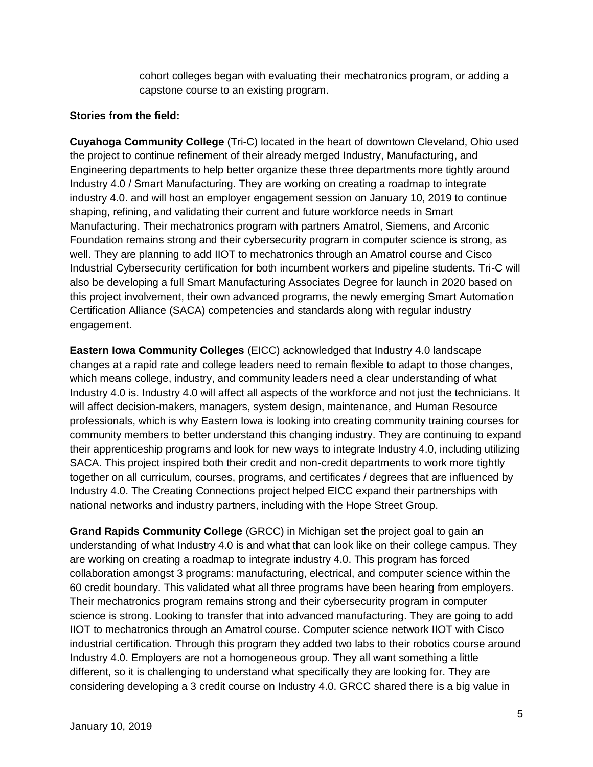cohort colleges began with evaluating their mechatronics program, or adding a capstone course to an existing program.

#### **Stories from the field:**

**Cuyahoga Community College** (Tri-C) located in the heart of downtown Cleveland, Ohio used the project to continue refinement of their already merged Industry, Manufacturing, and Engineering departments to help better organize these three departments more tightly around Industry 4.0 / Smart Manufacturing. They are working on creating a roadmap to integrate industry 4.0. and will host an employer engagement session on January 10, 2019 to continue shaping, refining, and validating their current and future workforce needs in Smart Manufacturing. Their mechatronics program with partners Amatrol, Siemens, and Arconic Foundation remains strong and their cybersecurity program in computer science is strong, as well. They are planning to add IIOT to mechatronics through an Amatrol course and Cisco Industrial Cybersecurity certification for both incumbent workers and pipeline students. Tri-C will also be developing a full Smart Manufacturing Associates Degree for launch in 2020 based on this project involvement, their own advanced programs, the newly emerging Smart Automation Certification Alliance (SACA) competencies and standards along with regular industry engagement.

**Eastern Iowa Community Colleges** (EICC) acknowledged that Industry 4.0 landscape changes at a rapid rate and college leaders need to remain flexible to adapt to those changes, which means college, industry, and community leaders need a clear understanding of what Industry 4.0 is. Industry 4.0 will affect all aspects of the workforce and not just the technicians. It will affect decision-makers, managers, system design, maintenance, and Human Resource professionals, which is why Eastern Iowa is looking into creating community training courses for community members to better understand this changing industry. They are continuing to expand their apprenticeship programs and look for new ways to integrate Industry 4.0, including utilizing SACA. This project inspired both their credit and non-credit departments to work more tightly together on all curriculum, courses, programs, and certificates / degrees that are influenced by Industry 4.0. The Creating Connections project helped EICC expand their partnerships with national networks and industry partners, including with the Hope Street Group.

**Grand Rapids Community College** (GRCC) in Michigan set the project goal to gain an understanding of what Industry 4.0 is and what that can look like on their college campus. They are working on creating a roadmap to integrate industry 4.0. This program has forced collaboration amongst 3 programs: manufacturing, electrical, and computer science within the 60 credit boundary. This validated what all three programs have been hearing from employers. Their mechatronics program remains strong and their cybersecurity program in computer science is strong. Looking to transfer that into advanced manufacturing. They are going to add IIOT to mechatronics through an Amatrol course. Computer science network IIOT with Cisco industrial certification. Through this program they added two labs to their robotics course around Industry 4.0. Employers are not a homogeneous group. They all want something a little different, so it is challenging to understand what specifically they are looking for. They are considering developing a 3 credit course on Industry 4.0. GRCC shared there is a big value in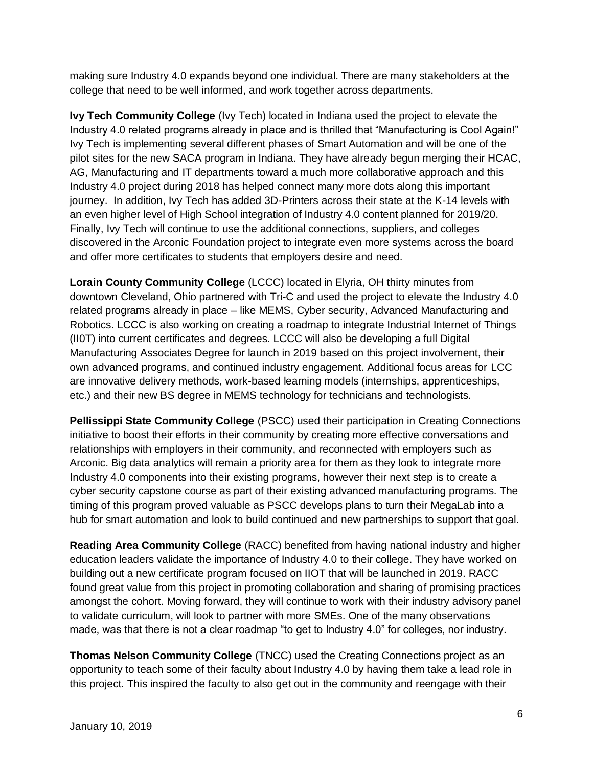making sure Industry 4.0 expands beyond one individual. There are many stakeholders at the college that need to be well informed, and work together across departments.

**Ivy Tech Community College** (Ivy Tech) located in Indiana used the project to elevate the Industry 4.0 related programs already in place and is thrilled that "Manufacturing is Cool Again!" Ivy Tech is implementing several different phases of Smart Automation and will be one of the pilot sites for the new SACA program in Indiana. They have already begun merging their HCAC, AG, Manufacturing and IT departments toward a much more collaborative approach and this Industry 4.0 project during 2018 has helped connect many more dots along this important journey. In addition, Ivy Tech has added 3D-Printers across their state at the K-14 levels with an even higher level of High School integration of Industry 4.0 content planned for 2019/20. Finally, Ivy Tech will continue to use the additional connections, suppliers, and colleges discovered in the Arconic Foundation project to integrate even more systems across the board and offer more certificates to students that employers desire and need.

**Lorain County Community College** (LCCC) located in Elyria, OH thirty minutes from downtown Cleveland, Ohio partnered with Tri-C and used the project to elevate the Industry 4.0 related programs already in place – like MEMS, Cyber security, Advanced Manufacturing and Robotics. LCCC is also working on creating a roadmap to integrate Industrial Internet of Things (II0T) into current certificates and degrees. LCCC will also be developing a full Digital Manufacturing Associates Degree for launch in 2019 based on this project involvement, their own advanced programs, and continued industry engagement. Additional focus areas for LCC are innovative delivery methods, work-based learning models (internships, apprenticeships, etc.) and their new BS degree in MEMS technology for technicians and technologists.

**Pellissippi State Community College** (PSCC) used their participation in Creating Connections initiative to boost their efforts in their community by creating more effective conversations and relationships with employers in their community, and reconnected with employers such as Arconic. Big data analytics will remain a priority area for them as they look to integrate more Industry 4.0 components into their existing programs, however their next step is to create a cyber security capstone course as part of their existing advanced manufacturing programs. The timing of this program proved valuable as PSCC develops plans to turn their MegaLab into a hub for smart automation and look to build continued and new partnerships to support that goal.

**Reading Area Community College** (RACC) benefited from having national industry and higher education leaders validate the importance of Industry 4.0 to their college. They have worked on building out a new certificate program focused on IIOT that will be launched in 2019. RACC found great value from this project in promoting collaboration and sharing of promising practices amongst the cohort. Moving forward, they will continue to work with their industry advisory panel to validate curriculum, will look to partner with more SMEs. One of the many observations made, was that there is not a clear roadmap "to get to Industry 4.0" for colleges, nor industry.

**Thomas Nelson Community College** (TNCC) used the Creating Connections project as an opportunity to teach some of their faculty about Industry 4.0 by having them take a lead role in this project. This inspired the faculty to also get out in the community and reengage with their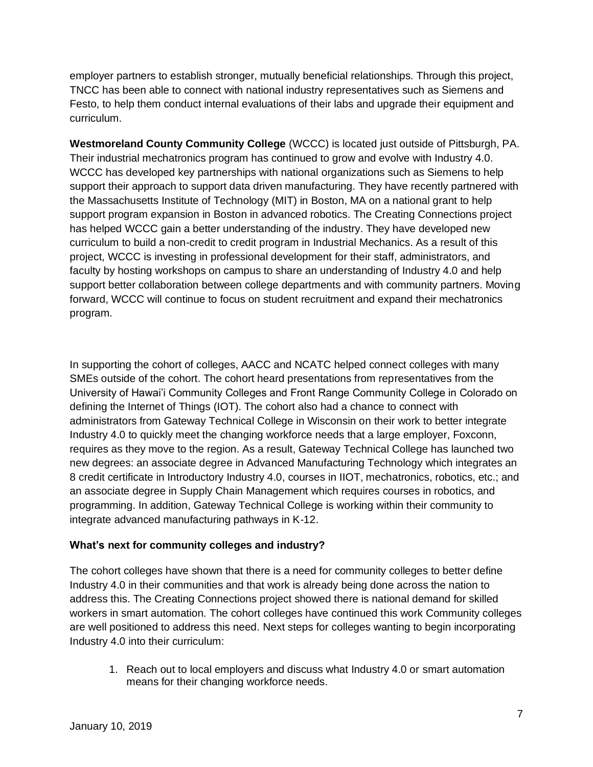employer partners to establish stronger, mutually beneficial relationships. Through this project, TNCC has been able to connect with national industry representatives such as Siemens and Festo, to help them conduct internal evaluations of their labs and upgrade their equipment and curriculum.

**Westmoreland County Community College** (WCCC) is located just outside of Pittsburgh, PA. Their industrial mechatronics program has continued to grow and evolve with Industry 4.0. WCCC has developed key partnerships with national organizations such as Siemens to help support their approach to support data driven manufacturing. They have recently partnered with the Massachusetts Institute of Technology (MIT) in Boston, MA on a national grant to help support program expansion in Boston in advanced robotics. The Creating Connections project has helped WCCC gain a better understanding of the industry. They have developed new curriculum to build a non-credit to credit program in Industrial Mechanics. As a result of this project, WCCC is investing in professional development for their staff, administrators, and faculty by hosting workshops on campus to share an understanding of Industry 4.0 and help support better collaboration between college departments and with community partners. Moving forward, WCCC will continue to focus on student recruitment and expand their mechatronics program.

In supporting the cohort of colleges, AACC and NCATC helped connect colleges with many SMEs outside of the cohort. The cohort heard presentations from representatives from the University of Hawai'i Community Colleges and Front Range Community College in Colorado on defining the Internet of Things (IOT). The cohort also had a chance to connect with administrators from Gateway Technical College in Wisconsin on their work to better integrate Industry 4.0 to quickly meet the changing workforce needs that a large employer, Foxconn, requires as they move to the region. As a result, Gateway Technical College has launched two new degrees: an associate degree in Advanced Manufacturing Technology which integrates an 8 credit certificate in Introductory Industry 4.0, courses in IIOT, mechatronics, robotics, etc.; and an associate degree in Supply Chain Management which requires courses in robotics, and programming. In addition, Gateway Technical College is working within their community to integrate advanced manufacturing pathways in K-12.

# **What's next for community colleges and industry?**

The cohort colleges have shown that there is a need for community colleges to better define Industry 4.0 in their communities and that work is already being done across the nation to address this. The Creating Connections project showed there is national demand for skilled workers in smart automation. The cohort colleges have continued this work Community colleges are well positioned to address this need. Next steps for colleges wanting to begin incorporating Industry 4.0 into their curriculum:

1. Reach out to local employers and discuss what Industry 4.0 or smart automation means for their changing workforce needs.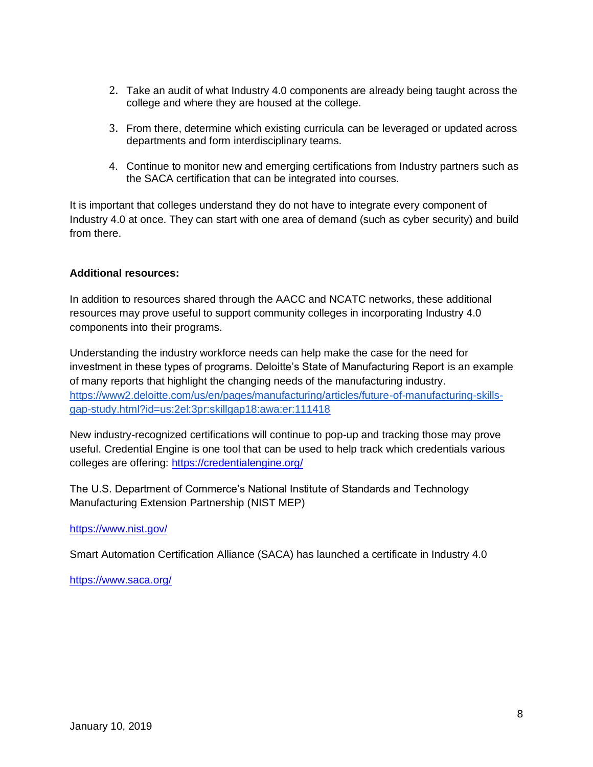- 2. Take an audit of what Industry 4.0 components are already being taught across the college and where they are housed at the college.
- 3. From there, determine which existing curricula can be leveraged or updated across departments and form interdisciplinary teams.
- 4. Continue to monitor new and emerging certifications from Industry partners such as the SACA certification that can be integrated into courses.

It is important that colleges understand they do not have to integrate every component of Industry 4.0 at once. They can start with one area of demand (such as cyber security) and build from there.

#### **Additional resources:**

In addition to resources shared through the AACC and NCATC networks, these additional resources may prove useful to support community colleges in incorporating Industry 4.0 components into their programs.

Understanding the industry workforce needs can help make the case for the need for investment in these types of programs. Deloitte's State of Manufacturing Report is an example of many reports that highlight the changing needs of the manufacturing industry. [https://www2.deloitte.com/us/en/pages/manufacturing/articles/future-of-manufacturing-skills](https://www2.deloitte.com/us/en/pages/manufacturing/articles/future-of-manufacturing-skills-gap-study.html?id=us:2el:3pr:skillgap18:awa:er:111418)[gap-study.html?id=us:2el:3pr:skillgap18:awa:er:111418](https://www2.deloitte.com/us/en/pages/manufacturing/articles/future-of-manufacturing-skills-gap-study.html?id=us:2el:3pr:skillgap18:awa:er:111418)

New industry-recognized certifications will continue to pop-up and tracking those may prove useful. Credential Engine is one tool that can be used to help track which credentials various colleges are offering:<https://credentialengine.org/>

The U.S. Department of Commerce's National Institute of Standards and Technology Manufacturing Extension Partnership (NIST MEP)

#### <https://www.nist.gov/>

Smart Automation Certification Alliance (SACA) has launched a certificate in Industry 4.0

<https://www.saca.org/>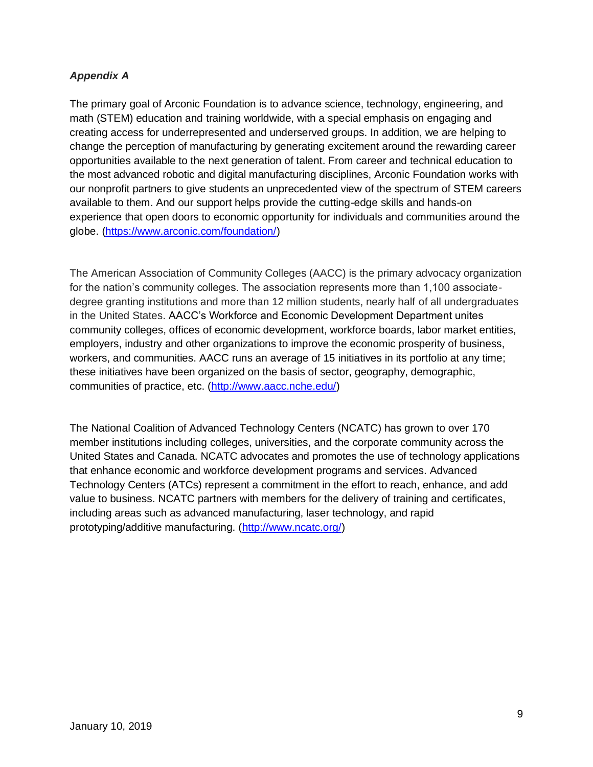#### *Appendix A*

The primary goal of Arconic Foundation is to advance science, technology, engineering, and math (STEM) education and training worldwide, with a special emphasis on engaging and creating access for underrepresented and underserved groups. In addition, we are helping to change the perception of manufacturing by generating excitement around the rewarding career opportunities available to the next generation of talent. From career and technical education to the most advanced robotic and digital manufacturing disciplines, Arconic Foundation works with our nonprofit partners to give students an unprecedented view of the spectrum of STEM careers available to them. And our support helps provide the cutting-edge skills and hands-on experience that open doors to economic opportunity for individuals and communities around the globe. [\(https://www.arconic.com/foundation/\)](https://www.arconic.com/foundation/)

The American Association of Community Colleges (AACC) is the primary advocacy organization for the nation's community colleges. The association represents more than 1,100 associatedegree granting institutions and more than 12 million students, nearly half of all undergraduates in the United States. AACC's Workforce and Economic Development Department unites community colleges, offices of economic development, workforce boards, labor market entities, employers, industry and other organizations to improve the economic prosperity of business, workers, and communities. AACC runs an average of 15 initiatives in its portfolio at any time; these initiatives have been organized on the basis of sector, geography, demographic, communities of practice, etc. [\(http://www.aacc.nche.edu/\)](http://www.aacc.nche.edu/)

The National Coalition of Advanced Technology Centers (NCATC) has grown to over 170 member institutions including colleges, universities, and the corporate community across the United States and Canada. NCATC advocates and promotes the use of technology applications that enhance economic and workforce development programs and services. Advanced Technology Centers (ATCs) represent a commitment in the effort to reach, enhance, and add value to business. NCATC partners with members for the delivery of training and certificates, including areas such as advanced manufacturing, laser technology, and rapid prototyping/additive manufacturing. [\(http://www.ncatc.org/\)](http://www.ncatc.org/)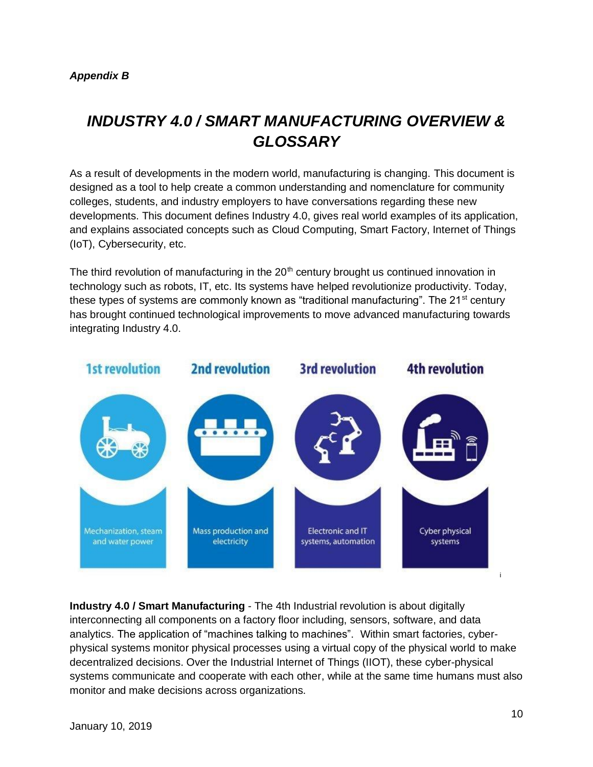# *INDUSTRY 4.0 / SMART MANUFACTURING OVERVIEW & GLOSSARY*

As a result of developments in the modern world, manufacturing is changing. This document is designed as a tool to help create a common understanding and nomenclature for community colleges, students, and industry employers to have conversations regarding these new developments. This document defines Industry 4.0, gives real world examples of its application, and explains associated concepts such as Cloud Computing, Smart Factory, Internet of Things (IoT), Cybersecurity, etc.

The third revolution of manufacturing in the  $20<sup>th</sup>$  century brought us continued innovation in technology such as robots, IT, etc. Its systems have helped revolutionize productivity. Today, these types of systems are commonly known as "traditional manufacturing". The  $21<sup>st</sup>$  century has brought continued technological improvements to move advanced manufacturing towards integrating Industry 4.0.



**Industry 4.0 / Smart Manufacturing** - The 4th Industrial revolution is about digitally interconnecting all components on a factory floor including, sensors, software, and data analytics. The application of "machines talking to machines". Within smart factories, cyberphysical systems monitor physical processes using a virtual copy of the physical world to make decentralized decisions. Over the Industrial Internet of Things (IIOT), these cyber-physical systems communicate and cooperate with each other, while at the same time humans must also monitor and make decisions across organizations.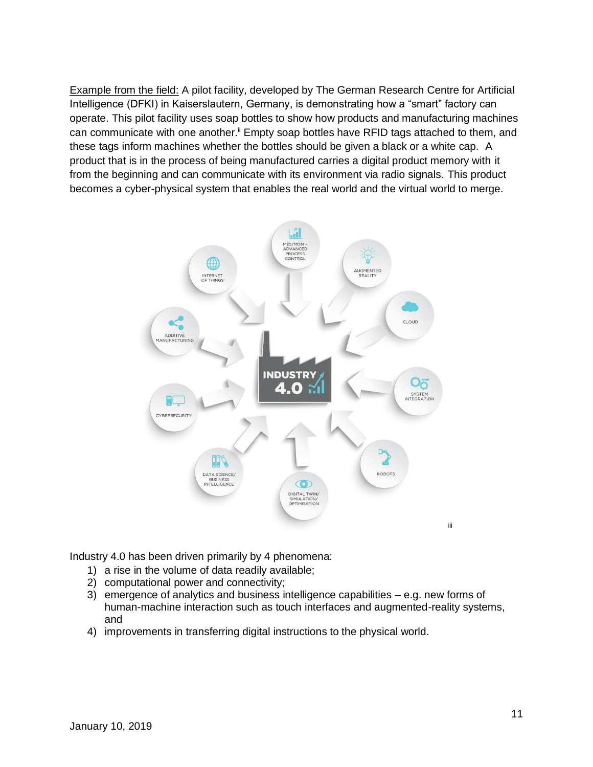Example from the field: A pilot facility, developed by The German Research Centre for Artificial Intelligence (DFKI) in Kaiserslautern, Germany, is demonstrating how a "smart" factory can operate. This pilot facility uses soap bottles to show how products and manufacturing machines can communicate with one another.<sup>ii</sup> Empty soap bottles have RFID tags attached to them, and these tags inform machines whether the bottles should be given a black or a white cap. A product that is in the process of being manufactured carries a digital product memory with it from the beginning and can communicate with its environment via radio signals. This product becomes a cyber-physical system that enables the real world and the virtual world to merge.



Industry 4.0 has been driven primarily by 4 phenomena:

- 1) a rise in the volume of data readily available;
- 2) computational power and connectivity;
- 3) emergence of analytics and business intelligence capabilities  $-$  e.g. new forms of human-machine interaction such as touch interfaces and augmented-reality systems, and
- 4) improvements in transferring digital instructions to the physical world.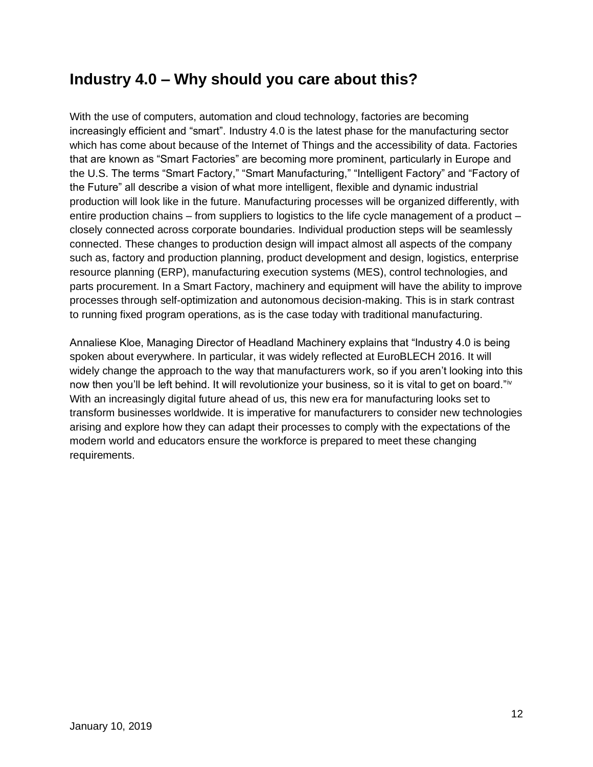# **Industry 4.0 – Why should you care about this?**

With the use of computers, automation and cloud technology, factories are becoming increasingly efficient and "smart". Industry 4.0 is the latest phase for the manufacturing sector which has come about because of the Internet of Things and the accessibility of data. Factories that are known as "Smart Factories" are becoming more prominent, particularly in Europe and the U.S. The terms "Smart Factory," "Smart Manufacturing," "Intelligent Factory" and "Factory of the Future" all describe a vision of what more intelligent, flexible and dynamic industrial production will look like in the future. Manufacturing processes will be organized differently, with entire production chains – from suppliers to logistics to the life cycle management of a product – closely connected across corporate boundaries. Individual production steps will be seamlessly connected. These changes to production design will impact almost all aspects of the company such as, factory and production planning, product development and design, logistics, enterprise resource planning (ERP), manufacturing execution systems (MES), control technologies, and parts procurement. In a Smart Factory, machinery and equipment will have the ability to improve processes through self-optimization and autonomous decision-making. This is in stark contrast to running fixed program operations, as is the case today with traditional manufacturing.

Annaliese Kloe, Managing Director of Headland Machinery explains that "Industry 4.0 is being spoken about everywhere. In particular, it was widely reflected at EuroBLECH 2016. It will widely change the approach to the way that manufacturers work, so if you aren't looking into this now then you'll be left behind. It will revolutionize your business, so it is vital to get on board."<sup>iv</sup> With an increasingly digital future ahead of us, this new era for manufacturing looks set to transform businesses worldwide. It is imperative for manufacturers to consider new technologies arising and explore how they can adapt their processes to comply with the expectations of the modern world and educators ensure the workforce is prepared to meet these changing requirements.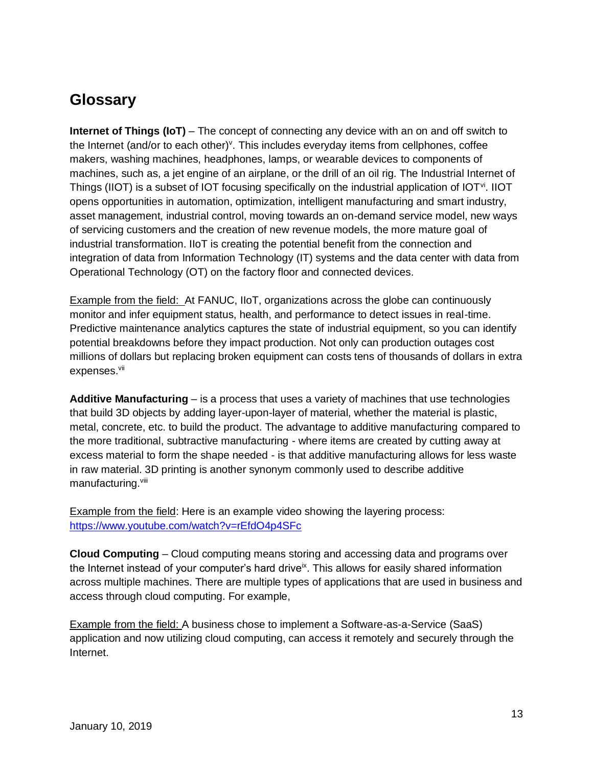# **Glossary**

**Internet of Things (IoT)** – The concept of connecting any device with an on and off switch to the Internet (and/or to each other)<sup>v</sup>. This includes everyday items from cellphones, coffee makers, washing machines, headphones, lamps, or wearable devices to components of machines, such as, a jet engine of an airplane, or the drill of an oil rig. The Industrial Internet of Things (IIOT) is a subset of IOT focusing specifically on the industrial application of IOT $\rm v_i$ . IIOT opens opportunities in automation, optimization, intelligent manufacturing and smart industry, asset management, industrial control, moving towards an on-demand service model, new ways of servicing customers and the creation of new revenue models, the more mature goal of industrial transformation. IIoT is creating the potential benefit from the connection and integration of data from Information Technology (IT) systems and the data center with data from Operational Technology (OT) on the factory floor and connected devices.

Example from the field: At FANUC, IIoT, organizations across the globe can continuously monitor and infer equipment status, health, and performance to detect issues in real-time. Predictive maintenance analytics captures the state of industrial equipment, so you can identify potential breakdowns before they impact production. Not only can production outages cost millions of dollars but replacing broken equipment can costs tens of thousands of dollars in extra expenses.<sup>vii</sup>

**Additive Manufacturing** – is a process that uses a variety of machines that use technologies that build 3D objects by adding layer-upon-layer of material, whether the material is plastic, metal, concrete, etc. to build the product. The advantage to additive manufacturing compared to the more traditional, subtractive manufacturing - where items are created by cutting away at excess material to form the shape needed - is that additive manufacturing allows for less waste in raw material. 3D printing is another synonym commonly used to describe additive manufacturing.<sup>viii</sup>

Example from the field: Here is an example video showing the layering process: <https://www.youtube.com/watch?v=rEfdO4p4SFc>

**Cloud Computing** – Cloud computing means storing and accessing data and programs over the Internet instead of your computer's hard drive<sup>ix</sup>. This allows for easily shared information across multiple machines. There are multiple types of applications that are used in business and access through cloud computing. For example,

Example from the field: A business chose to implement a Software-as-a-Service (SaaS) application and now utilizing cloud computing, can access it remotely and securely through the Internet.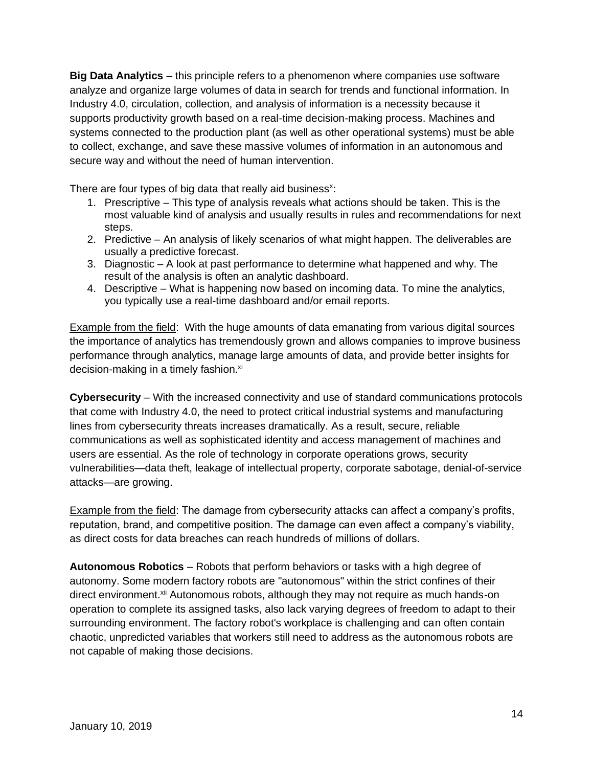**Big Data Analytics** – this principle refers to a phenomenon where companies use software analyze and organize large volumes of data in search for trends and functional information. In Industry 4.0, circulation, collection, and analysis of information is a necessity because it supports productivity growth based on a real-time decision-making process. Machines and systems connected to the production plant (as well as other operational systems) must be able to collect, exchange, and save these massive volumes of information in an autonomous and secure way and without the need of human intervention.

There are four types of big data that really aid business<sup>x</sup>:

- 1. Prescriptive This type of analysis reveals what actions should be taken. This is the most valuable kind of analysis and usually results in rules and recommendations for next steps.
- 2. Predictive An analysis of likely scenarios of what might happen. The deliverables are usually a predictive forecast.
- 3. Diagnostic A look at past performance to determine what happened and why. The result of the analysis is often an analytic dashboard.
- 4. Descriptive What is happening now based on incoming data. To mine the analytics, you typically use a real-time dashboard and/or email reports.

Example from the field: With the huge amounts of data emanating from various digital sources the importance of analytics has tremendously grown and allows companies to improve business performance through analytics, manage large amounts of data, and provide better insights for decision-making in a timely fashion.<sup>xi</sup>

**Cybersecurity** – With the increased connectivity and use of standard communications protocols that come with Industry 4.0, the need to protect critical industrial systems and manufacturing lines from cybersecurity threats increases dramatically. As a result, secure, reliable communications as well as sophisticated identity and access management of machines and users are essential. As the role of technology in corporate operations grows, security vulnerabilities—data theft, leakage of intellectual property, corporate sabotage, denial-of-service attacks—are growing.

Example from the field: The damage from cybersecurity attacks can affect a company's profits, reputation, brand, and competitive position. The damage can even affect a company's viability, as direct costs for data breaches can reach hundreds of millions of dollars.

**Autonomous Robotics** – Robots that perform behaviors or tasks with a high degree of autonomy. Some modern factory robots are "autonomous" within the strict confines of their direct environment.<sup>xii</sup> Autonomous robots, although they may not require as much hands-on operation to complete its assigned tasks, also lack varying degrees of freedom to adapt to their surrounding environment. The factory robot's workplace is challenging and can often contain chaotic, unpredicted variables that workers still need to address as the autonomous robots are not capable of making those decisions.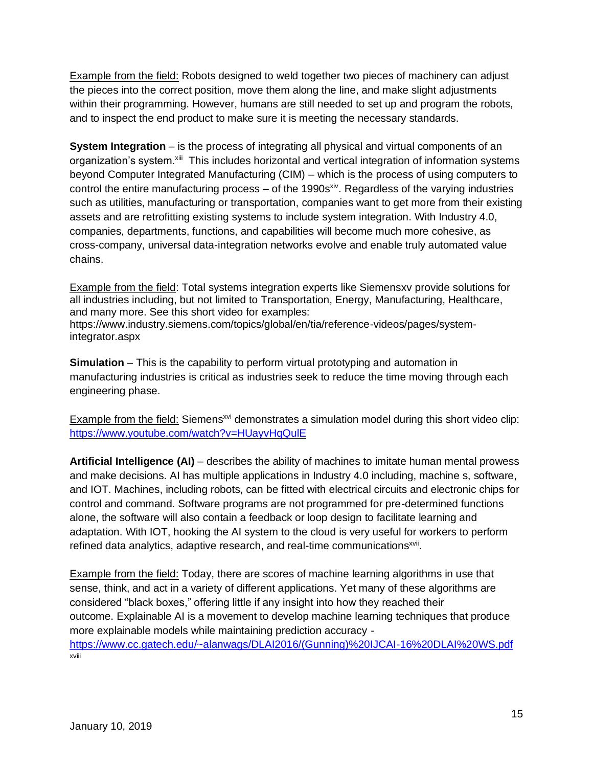Example from the field: Robots designed to weld together two pieces of machinery can adjust the pieces into the correct position, move them along the line, and make slight adjustments within their programming. However, humans are still needed to set up and program the robots, and to inspect the end product to make sure it is meeting the necessary standards.

**System Integration** – is the process of integrating all physical and virtual components of an organization's system.<sup>xiii</sup> This includes horizontal and vertical integration of information systems beyond Computer Integrated Manufacturing (CIM) – which is the process of using computers to control the entire manufacturing process – of the 1990s<sup>xiv</sup>. Regardless of the varying industries such as utilities, manufacturing or transportation, companies want to get more from their existing assets and are retrofitting existing systems to include system integration. With Industry 4.0, companies, departments, functions, and capabilities will become much more cohesive, as cross-company, universal data-integration networks evolve and enable truly automated value chains.

Example from the field: Total systems integration experts like Siemensxv provide solutions for all industries including, but not limited to Transportation, Energy, Manufacturing, Healthcare, and many more. See this short video for examples:

[https://www.industry.siemens.com/topics/global/en/tia/reference-videos/pages/system](https://www.industry.siemens.com/topics/global/en/tia/reference-videos/pages/system-integrator.aspx)[integrator.aspx](https://www.industry.siemens.com/topics/global/en/tia/reference-videos/pages/system-integrator.aspx)

**Simulation** – This is the capability to perform virtual prototyping and automation in manufacturing industries is critical as industries seek to reduce the time moving through each engineering phase.

Example from the field: Siemens<sup>xvi</sup> demonstrates a simulation model during this short video clip: <https://www.youtube.com/watch?v=HUayvHqQulE>

**Artificial Intelligence (AI)** – describes the ability of machines to imitate human mental prowess and make decisions. AI has multiple applications in Industry 4.0 including, machine s, software, and IOT. Machines, including robots, can be fitted with electrical circuits and electronic chips for control and command. Software programs are not programmed for pre-determined functions alone, the software will also contain a feedback or loop design to facilitate learning and adaptation. With IOT, hooking the AI system to the cloud is very useful for workers to perform refined data analytics, adaptive research, and real-time communications<sup>xvii</sup>.

Example from the field: Today, there are scores of machine learning algorithms in use that sense, think, and act in a variety of different applications. Yet many of these algorithms are considered "black boxes," offering little if any insight into how they reached their outcome. Explainable AI is a movement to develop machine learning techniques that produce more explainable models while maintaining prediction accuracy [https://www.cc.gatech.edu/~alanwags/DLAI2016/\(Gunning\)%20IJCAI-16%20DLAI%20WS.pdf](https://www.cc.gatech.edu/~alanwags/DLAI2016/(Gunning)%20IJCAI-16%20DLAI%20WS.pdf) xviii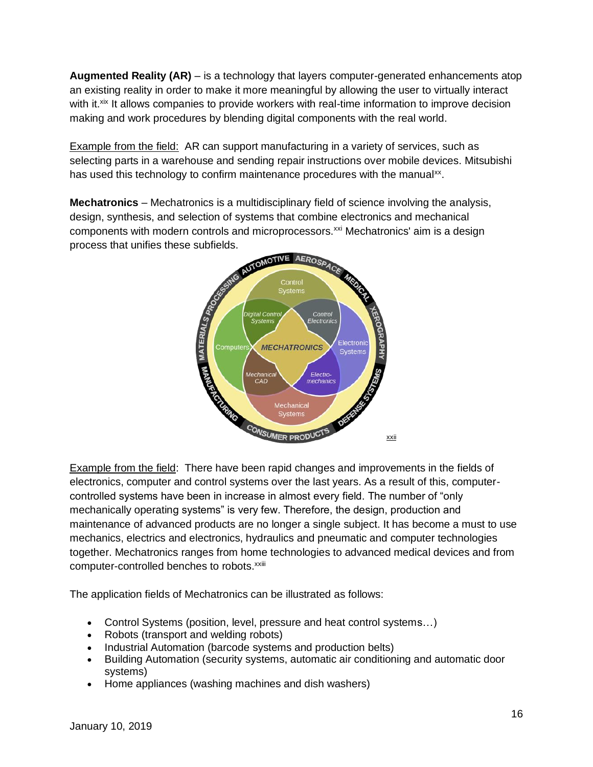**Augmented Reality (AR)** – is a technology that layers computer-generated enhancements atop an existing reality in order to make it more meaningful by allowing the user to virtually interact with it.<sup>xix</sup> It allows companies to provide workers with real-time information to improve decision making and work procedures by blending digital components with the real world.

Example from the field: AR can support manufacturing in a variety of services, such as selecting parts in a warehouse and sending repair instructions over mobile devices. Mitsubishi has used this technology to confirm maintenance procedures with the manual<sup>xx</sup>.

**Mechatronics** – Mechatronics is a [multidisciplinary](https://en.wikipedia.org/wiki/Multidisciplinary) field of science involving the analysis, design, synthesis, and selection of systems that combine electronics and mechanical components with modern controls and microprocessors.<sup>xxi</sup> Mechatronics' aim is a design process that unifies these subfields.



Example from the field: There have been rapid changes and improvements in the fields of electronics, computer and control systems over the last years. As a result of this, computercontrolled systems have been in increase in almost every field. The number of "only mechanically operating systems" is very few. Therefore, the design, production and maintenance of advanced products are no longer a single subject. It has become a must to use mechanics, electrics and electronics, hydraulics and pneumatic and computer technologies together. Mechatronics ranges from home technologies to advanced medical devices and from computer-controlled benches to robots.<sup>xxiii</sup>

The application fields of Mechatronics can be illustrated as follows:

- Control Systems (position, level, pressure and heat control systems…)
- Robots (transport and welding robots)
- Industrial Automation (barcode systems and production belts)
- Building Automation (security systems, automatic air conditioning and automatic door systems)
- Home appliances (washing machines and dish washers)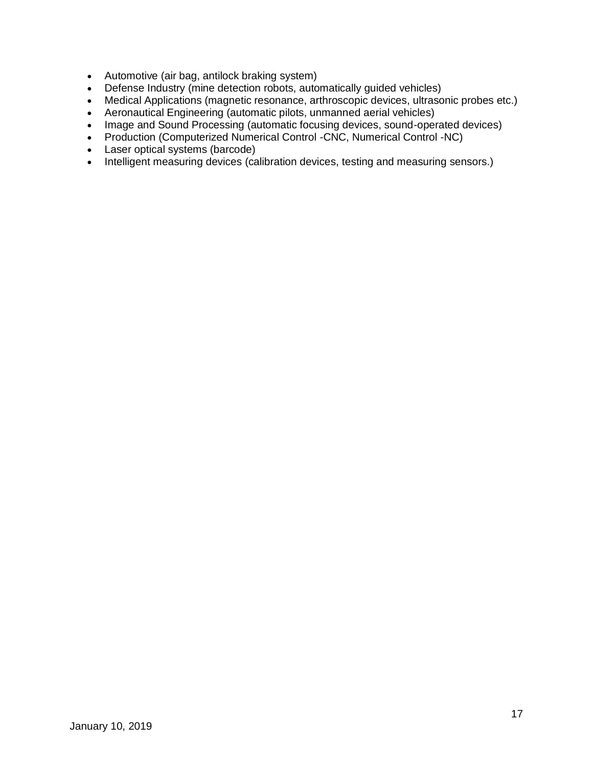- Automotive (air bag, antilock braking system)
- Defense Industry (mine detection robots, automatically guided vehicles)
- Medical Applications (magnetic resonance, arthroscopic devices, ultrasonic probes etc.)
- Aeronautical Engineering (automatic pilots, unmanned aerial vehicles)
- Image and Sound Processing (automatic focusing devices, sound-operated devices)
- Production (Computerized Numerical Control -CNC, Numerical Control -NC)
- Laser optical systems (barcode)
- Intelligent measuring devices (calibration devices, testing and measuring sensors.)